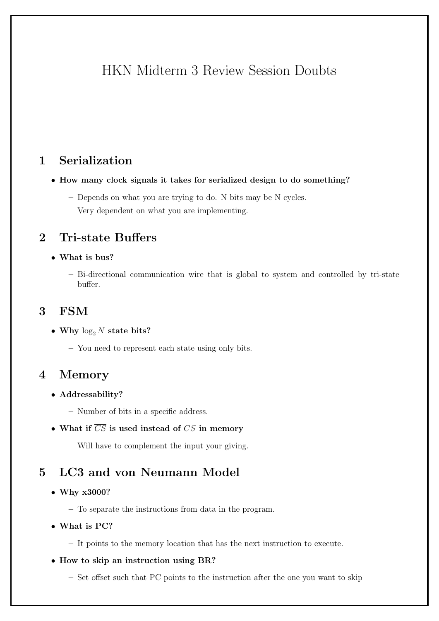# HKN Midterm 3 Review Session Doubts

# 1 Serialization

- How many clock signals it takes for serialized design to do something?
	- Depends on what you are trying to do. N bits may be N cycles.
	- Very dependent on what you are implementing.

### 2 Tri-state Buffers

- What is bus?
	- Bi-directional communication wire that is global to system and controlled by tri-state buffer.

# 3 FSM

- Why  $\log_2 N$  state bits?
	- You need to represent each state using only bits.

### 4 Memory

- Addressability?
	- Number of bits in a specific address.
- What if  $\overline{CS}$  is used instead of CS in memory
	- Will have to complement the input your giving.

# 5 LC3 and von Neumann Model

- Why x3000?
	- To separate the instructions from data in the program.
- What is PC?
	- It points to the memory location that has the next instruction to execute.
- How to skip an instruction using BR?
	- Set offset such that PC points to the instruction after the one you want to skip